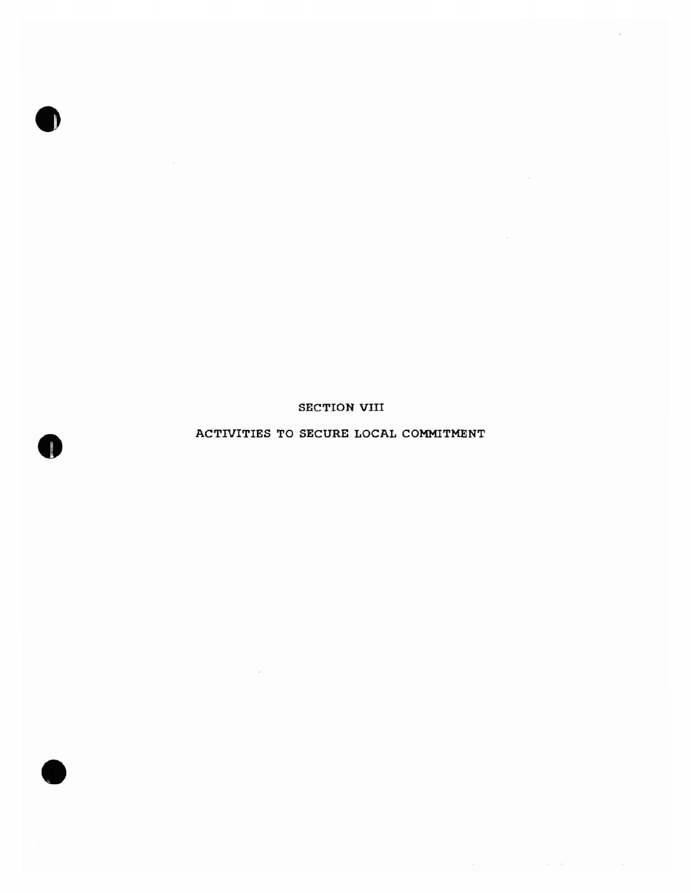SECTION VIII

•

**•** 

**•** 

## ACTIVITIES TO SECURE LOCAL COMMITMENT